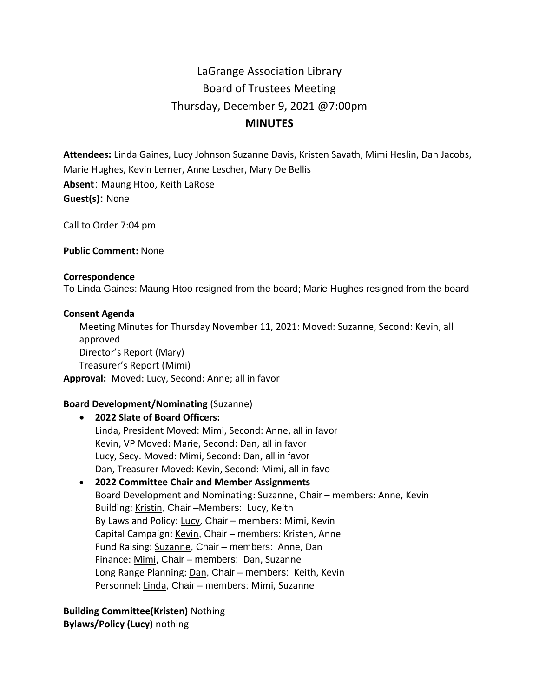# LaGrange Association Library Board of Trustees Meeting Thursday, December 9, 2021 @7:00pm **MINUTES**

**Attendees:** Linda Gaines, Lucy Johnson Suzanne Davis, Kristen Savath, Mimi Heslin, Dan Jacobs, Marie Hughes, Kevin Lerner, Anne Lescher, Mary De Bellis **Absent**: Maung Htoo, Keith LaRose **Guest(s):** None

Call to Order 7:04 pm

**Public Comment:** None

#### **Correspondence**

To Linda Gaines: Maung Htoo resigned from the board; Marie Hughes resigned from the board

#### **Consent Agenda**

Meeting Minutes for Thursday November 11, 2021: Moved: Suzanne, Second: Kevin, all approved Director's Report (Mary) Treasurer's Report (Mimi) **Approval:** Moved: Lucy, Second: Anne; all in favor

#### **Board Development/Nominating** (Suzanne)

- **2022 Slate of Board Officers:** Linda, President Moved: Mimi, Second: Anne, all in favor Kevin, VP Moved: Marie, Second: Dan, all in favor Lucy, Secy. Moved: Mimi, Second: Dan, all in favor Dan, Treasurer Moved: Kevin, Second: Mimi, all in favo • **2022 Committee Chair and Member Assignments**
- Board Development and Nominating: Suzanne, Chair members: Anne, Kevin Building: Kristin, Chair –Members: Lucy, Keith By Laws and Policy: Lucy, Chair - members: Mimi, Kevin Capital Campaign: Kevin, Chair – members: Kristen, Anne Fund Raising: Suzanne, Chair – members: Anne, Dan Finance: Mimi, Chair – members: Dan, Suzanne Long Range Planning: Dan, Chair – members: Keith, Kevin Personnel: Linda, Chair – members: Mimi, Suzanne

**Building Committee(Kristen)** Nothing **Bylaws/Policy (Lucy)** nothing